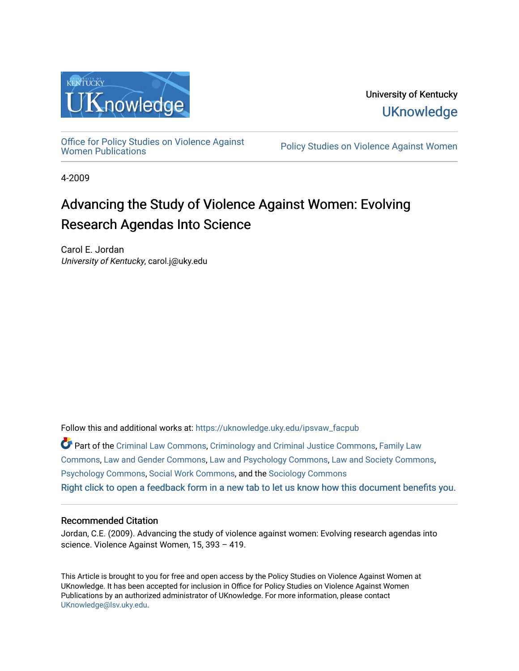

University of Kentucky **UKnowledge** 

[Office for Policy Studies on Violence Against](https://uknowledge.uky.edu/ipsvaw_facpub)

Policy Studies on Violence Against Women

4-2009

# Advancing the Study of Violence Against Women: Evolving Research Agendas Into Science

Carol E. Jordan University of Kentucky, carol.j@uky.edu

Follow this and additional works at: [https://uknowledge.uky.edu/ipsvaw\\_facpub](https://uknowledge.uky.edu/ipsvaw_facpub?utm_source=uknowledge.uky.edu%2Fipsvaw_facpub%2F9&utm_medium=PDF&utm_campaign=PDFCoverPages) 

Part of the [Criminal Law Commons,](http://network.bepress.com/hgg/discipline/912?utm_source=uknowledge.uky.edu%2Fipsvaw_facpub%2F9&utm_medium=PDF&utm_campaign=PDFCoverPages) [Criminology and Criminal Justice Commons](http://network.bepress.com/hgg/discipline/367?utm_source=uknowledge.uky.edu%2Fipsvaw_facpub%2F9&utm_medium=PDF&utm_campaign=PDFCoverPages), [Family Law](http://network.bepress.com/hgg/discipline/602?utm_source=uknowledge.uky.edu%2Fipsvaw_facpub%2F9&utm_medium=PDF&utm_campaign=PDFCoverPages)  [Commons](http://network.bepress.com/hgg/discipline/602?utm_source=uknowledge.uky.edu%2Fipsvaw_facpub%2F9&utm_medium=PDF&utm_campaign=PDFCoverPages), [Law and Gender Commons,](http://network.bepress.com/hgg/discipline/1298?utm_source=uknowledge.uky.edu%2Fipsvaw_facpub%2F9&utm_medium=PDF&utm_campaign=PDFCoverPages) [Law and Psychology Commons,](http://network.bepress.com/hgg/discipline/870?utm_source=uknowledge.uky.edu%2Fipsvaw_facpub%2F9&utm_medium=PDF&utm_campaign=PDFCoverPages) [Law and Society Commons](http://network.bepress.com/hgg/discipline/853?utm_source=uknowledge.uky.edu%2Fipsvaw_facpub%2F9&utm_medium=PDF&utm_campaign=PDFCoverPages), [Psychology Commons,](http://network.bepress.com/hgg/discipline/404?utm_source=uknowledge.uky.edu%2Fipsvaw_facpub%2F9&utm_medium=PDF&utm_campaign=PDFCoverPages) [Social Work Commons](http://network.bepress.com/hgg/discipline/713?utm_source=uknowledge.uky.edu%2Fipsvaw_facpub%2F9&utm_medium=PDF&utm_campaign=PDFCoverPages), and the [Sociology Commons](http://network.bepress.com/hgg/discipline/416?utm_source=uknowledge.uky.edu%2Fipsvaw_facpub%2F9&utm_medium=PDF&utm_campaign=PDFCoverPages) [Right click to open a feedback form in a new tab to let us know how this document benefits you.](https://uky.az1.qualtrics.com/jfe/form/SV_9mq8fx2GnONRfz7)

# Recommended Citation

Jordan, C.E. (2009). Advancing the study of violence against women: Evolving research agendas into science. Violence Against Women, 15, 393 – 419.

This Article is brought to you for free and open access by the Policy Studies on Violence Against Women at UKnowledge. It has been accepted for inclusion in Office for Policy Studies on Violence Against Women Publications by an authorized administrator of UKnowledge. For more information, please contact [UKnowledge@lsv.uky.edu.](mailto:UKnowledge@lsv.uky.edu)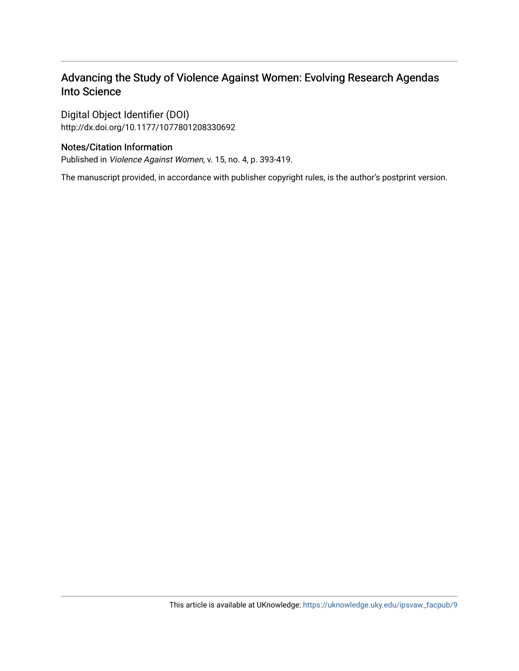# Advancing the Study of Violence Against Women: Evolving Research Agendas Into Science

Digital Object Identifier (DOI) http://dx.doi.org/10.1177/1077801208330692

# Notes/Citation Information

Published in Violence Against Women, v. 15, no. 4, p. 393-419.

The manuscript provided, in accordance with publisher copyright rules, is the author's postprint version.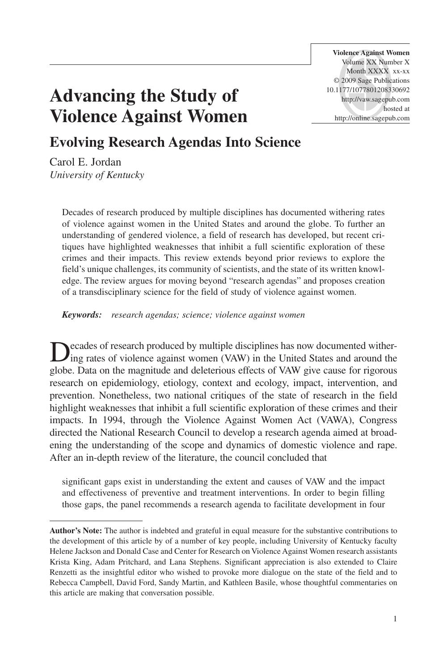**Violence Against Women** Volume XX Number X Month XXXX xx-xx © 2009 Sage Publications 10.1177/1077801208330692 http://vaw.sagepub.com hosted at http://online.sagepub.com

# **Advancing the Study of Violence Against Women**

# **Evolving Research Agendas Into Science**

Carol E. Jordan *University of Kentucky*

> Decades of research produced by multiple disciplines has documented withering rates of violence against women in the United States and around the globe. To further an understanding of gendered violence, a field of research has developed, but recent critiques have highlighted weaknesses that inhibit a full scientific exploration of these crimes and their impacts. This review extends beyond prior reviews to explore the field's unique challenges, its community of scientists, and the state of its written knowledge. The review argues for moving beyond "research agendas" and proposes creation of a transdisciplinary science for the field of study of violence against women.

*Keywords: research agendas; science; violence against women*

ecades of research produced by multiple disciplines has now documented withering rates of violence against women (VAW) in the United States and around the globe. Data on the magnitude and deleterious effects of VAW give cause for rigorous research on epidemiology, etiology, context and ecology, impact, intervention, and prevention. Nonetheless, two national critiques of the state of research in the field highlight weaknesses that inhibit a full scientific exploration of these crimes and their impacts. In 1994, through the Violence Against Women Act (VAWA), Congress directed the National Research Council to develop a research agenda aimed at broadening the understanding of the scope and dynamics of domestic violence and rape. After an in-depth review of the literature, the council concluded that

significant gaps exist in understanding the extent and causes of VAW and the impact and effectiveness of preventive and treatment interventions. In order to begin filling those gaps, the panel recommends a research agenda to facilitate development in four

**Author's Note:** The author is indebted and grateful in equal measure for the substantive contributions to the development of this article by of a number of key people, including University of Kentucky faculty Helene Jackson and Donald Case and Center for Research on Violence Against Women research assistants Krista King, Adam Pritchard, and Lana Stephens. Significant appreciation is also extended to Claire Renzetti as the insightful editor who wished to provoke more dialogue on the state of the field and to Rebecca Campbell, David Ford, Sandy Martin, and Kathleen Basile, whose thoughtful commentaries on this article are making that conversation possible.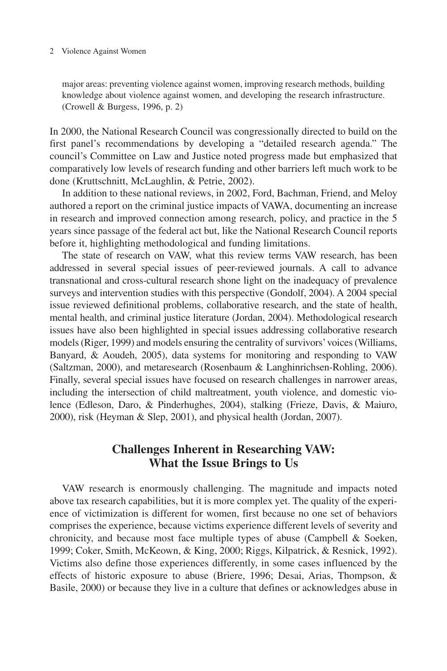#### 2 Violence Against Women

major areas: preventing violence against women, improving research methods, building knowledge about violence against women, and developing the research infrastructure. (Crowell & Burgess, 1996, p. 2)

In 2000, the National Research Council was congressionally directed to build on the first panel's recommendations by developing a "detailed research agenda." The council's Committee on Law and Justice noted progress made but emphasized that comparatively low levels of research funding and other barriers left much work to be done (Kruttschnitt, McLaughlin, & Petrie, 2002).

In addition to these national reviews, in 2002, Ford, Bachman, Friend, and Meloy authored a report on the criminal justice impacts of VAWA, documenting an increase in research and improved connection among research, policy, and practice in the 5 years since passage of the federal act but, like the National Research Council reports before it, highlighting methodological and funding limitations.

The state of research on VAW, what this review terms VAW research, has been addressed in several special issues of peer-reviewed journals. A call to advance transnational and cross-cultural research shone light on the inadequacy of prevalence surveys and intervention studies with this perspective (Gondolf, 2004). A 2004 special issue reviewed definitional problems, collaborative research, and the state of health, mental health, and criminal justice literature (Jordan, 2004). Methodological research issues have also been highlighted in special issues addressing collaborative research models (Riger, 1999) and models ensuring the centrality of survivors' voices (Williams, Banyard, & Aoudeh, 2005), data systems for monitoring and responding to VAW (Saltzman, 2000), and metaresearch (Rosenbaum & Langhinrichsen-Rohling, 2006). Finally, several special issues have focused on research challenges in narrower areas, including the intersection of child maltreatment, youth violence, and domestic violence (Edleson, Daro, & Pinderhughes, 2004), stalking (Frieze, Davis, & Maiuro, 2000), risk (Heyman & Slep, 2001), and physical health (Jordan, 2007).

# **Challenges Inherent in Researching VAW: What the Issue Brings to Us**

VAW research is enormously challenging. The magnitude and impacts noted above tax research capabilities, but it is more complex yet. The quality of the experience of victimization is different for women, first because no one set of behaviors comprises the experience, because victims experience different levels of severity and chronicity, and because most face multiple types of abuse (Campbell & Soeken, 1999; Coker, Smith, McKeown, & King, 2000; Riggs, Kilpatrick, & Resnick, 1992). Victims also define those experiences differently, in some cases influenced by the effects of historic exposure to abuse (Briere, 1996; Desai, Arias, Thompson, & Basile, 2000) or because they live in a culture that defines or acknowledges abuse in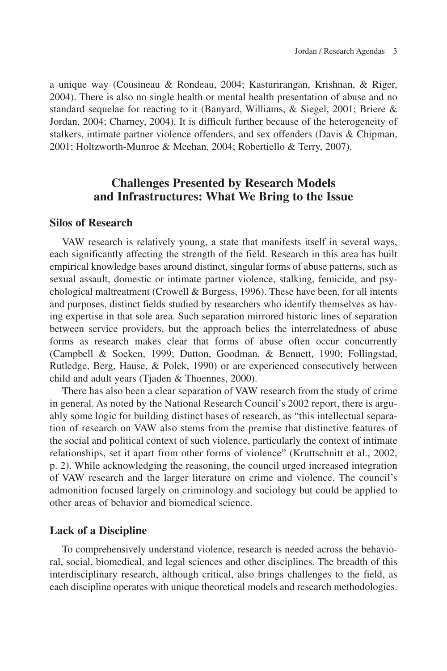a unique way (Cousineau & Rondeau, 2004; Kasturirangan, Krishnan, & Riger, 2004). There is also no single health or mental health presentation of abuse and no standard sequelae for reacting to it (Banyard, Williams, & Siegel, 2001; Briere & Jordan, 2004; Charney, 2004). It is difficult further because of the heterogeneity of stalkers, intimate partner violence offenders, and sex offenders (Davis & Chipman, 2001; Holtzworth-Munroe & Meehan, 2004; Robertiello & Terry, 2007).

## **Challenges Presented by Research Models and Infrastructures: What We Bring to the Issue**

#### **Silos of Research**

VAW research is relatively young, a state that manifests itself in several ways, each significantly affecting the strength of the field. Research in this area has built empirical knowledge bases around distinct, singular forms of abuse patterns, such as sexual assault, domestic or intimate partner violence, stalking, femicide, and psychological maltreatment (Crowell & Burgess, 1996). These have been, for all intents and purposes, distinct fields studied by researchers who identify themselves as having expertise in that sole area. Such separation mirrored historic lines of separation between service providers, but the approach belies the interrelatedness of abuse forms as research makes clear that forms of abuse often occur concurrently (Campbell & Soeken, 1999; Dutton, Goodman, & Bennett, 1990; Follingstad, Rutledge, Berg, Hause, & Polek, 1990) or are experienced consecutively between child and adult years (Tjaden & Thoennes, 2000).

There has also been a clear separation of VAW research from the study of crime in general. As noted by the National Research Council's 2002 report, there is arguably some logic for building distinct bases of research, as "this intellectual separation of research on VAW also stems from the premise that distinctive features of the social and political context of such violence, particularly the context of intimate relationships, set it apart from other forms of violence" (Kruttschnitt et al., 2002, p. 2). While acknowledging the reasoning, the council urged increased integration of VAW research and the larger literature on crime and violence. The council's admonition focused largely on criminology and sociology but could be applied to other areas of behavior and biomedical science.

#### **Lack of a Discipline**

To comprehensively understand violence, research is needed across the behavioral, social, biomedical, and legal sciences and other disciplines. The breadth of this interdisciplinary research, although critical, also brings challenges to the field, as each discipline operates with unique theoretical models and research methodologies.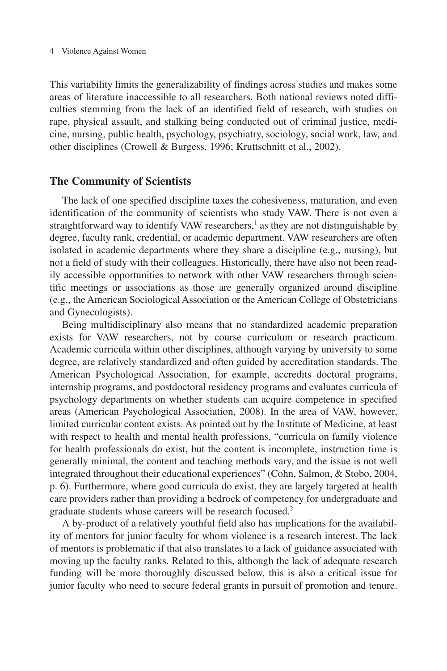#### 4 Violence Against Women

This variability limits the generalizability of findings across studies and makes some areas of literature inaccessible to all researchers. Both national reviews noted difficulties stemming from the lack of an identified field of research, with studies on rape, physical assault, and stalking being conducted out of criminal justice, medicine, nursing, public health, psychology, psychiatry, sociology, social work, law, and other disciplines (Crowell & Burgess, 1996; Kruttschnitt et al., 2002).

#### **The Community of Scientists**

The lack of one specified discipline taxes the cohesiveness, maturation, and even identification of the community of scientists who study VAW. There is not even a straightforward way to identify VAW researchers,<sup>1</sup> as they are not distinguishable by degree, faculty rank, credential, or academic department. VAW researchers are often isolated in academic departments where they share a discipline (e.g., nursing), but not a field of study with their colleagues. Historically, there have also not been readily accessible opportunities to network with other VAW researchers through scientific meetings or associations as those are generally organized around discipline (e.g., the American Sociological Association or the American College of Obstetricians and Gynecologists).

Being multidisciplinary also means that no standardized academic preparation exists for VAW researchers, not by course curriculum or research practicum. Academic curricula within other disciplines, although varying by university to some degree, are relatively standardized and often guided by accreditation standards. The American Psychological Association, for example, accredits doctoral programs, internship programs, and postdoctoral residency programs and evaluates curricula of psychology departments on whether students can acquire competence in specified areas (American Psychological Association, 2008). In the area of VAW, however, limited curricular content exists. As pointed out by the Institute of Medicine, at least with respect to health and mental health professions, "curricula on family violence for health professionals do exist, but the content is incomplete, instruction time is generally minimal, the content and teaching methods vary, and the issue is not well integrated throughout their educational experiences" (Cohn, Salmon, & Stobo, 2004, p. 6). Furthermore, where good curricula do exist, they are largely targeted at health care providers rather than providing a bedrock of competency for undergraduate and graduate students whose careers will be research focused.2

A by-product of a relatively youthful field also has implications for the availability of mentors for junior faculty for whom violence is a research interest. The lack of mentors is problematic if that also translates to a lack of guidance associated with moving up the faculty ranks. Related to this, although the lack of adequate research funding will be more thoroughly discussed below, this is also a critical issue for junior faculty who need to secure federal grants in pursuit of promotion and tenure.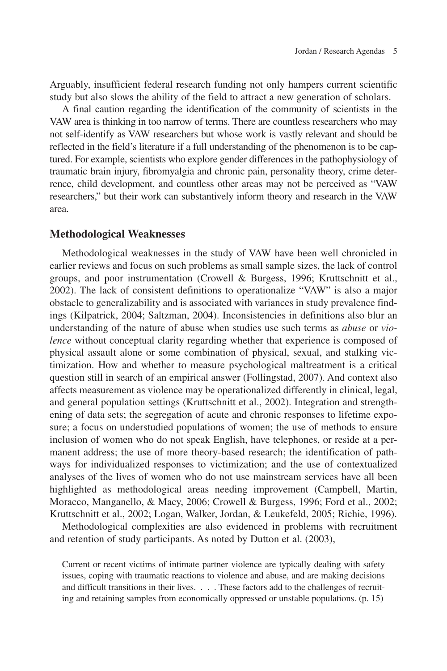Arguably, insufficient federal research funding not only hampers current scientific study but also slows the ability of the field to attract a new generation of scholars.

A final caution regarding the identification of the community of scientists in the VAW area is thinking in too narrow of terms. There are countless researchers who may not self-identify as VAW researchers but whose work is vastly relevant and should be reflected in the field's literature if a full understanding of the phenomenon is to be captured. For example, scientists who explore gender differences in the pathophysiology of traumatic brain injury, fibromyalgia and chronic pain, personality theory, crime deterrence, child development, and countless other areas may not be perceived as "VAW researchers," but their work can substantively inform theory and research in the VAW area.

#### **Methodological Weaknesses**

Methodological weaknesses in the study of VAW have been well chronicled in earlier reviews and focus on such problems as small sample sizes, the lack of control groups, and poor instrumentation (Crowell & Burgess, 1996; Kruttschnitt et al., 2002). The lack of consistent definitions to operationalize "VAW" is also a major obstacle to generalizability and is associated with variances in study prevalence findings (Kilpatrick, 2004; Saltzman, 2004). Inconsistencies in definitions also blur an understanding of the nature of abuse when studies use such terms as *abuse* or *violence* without conceptual clarity regarding whether that experience is composed of physical assault alone or some combination of physical, sexual, and stalking victimization. How and whether to measure psychological maltreatment is a critical question still in search of an empirical answer (Follingstad, 2007). And context also affects measurement as violence may be operationalized differently in clinical, legal, and general population settings (Kruttschnitt et al., 2002). Integration and strengthening of data sets; the segregation of acute and chronic responses to lifetime exposure; a focus on understudied populations of women; the use of methods to ensure inclusion of women who do not speak English, have telephones, or reside at a permanent address; the use of more theory-based research; the identification of pathways for individualized responses to victimization; and the use of contextualized analyses of the lives of women who do not use mainstream services have all been highlighted as methodological areas needing improvement (Campbell, Martin, Moracco, Manganello, & Macy, 2006; Crowell & Burgess, 1996; Ford et al., 2002; Kruttschnitt et al., 2002; Logan, Walker, Jordan, & Leukefeld, 2005; Richie, 1996).

Methodological complexities are also evidenced in problems with recruitment and retention of study participants. As noted by Dutton et al. (2003),

Current or recent victims of intimate partner violence are typically dealing with safety issues, coping with traumatic reactions to violence and abuse, and are making decisions and difficult transitions in their lives. . . . These factors add to the challenges of recruiting and retaining samples from economically oppressed or unstable populations. (p. 15)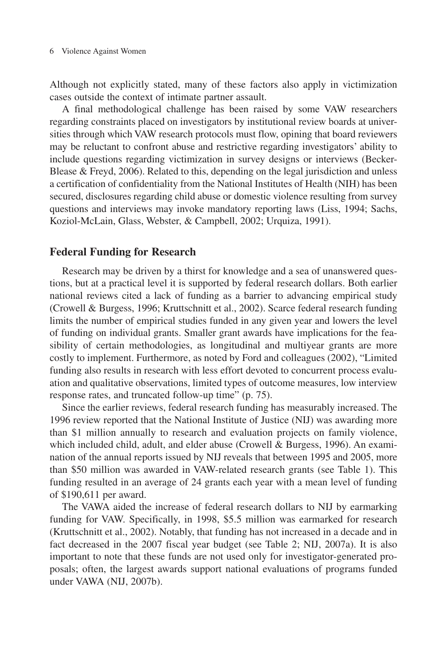Although not explicitly stated, many of these factors also apply in victimization cases outside the context of intimate partner assault.

A final methodological challenge has been raised by some VAW researchers regarding constraints placed on investigators by institutional review boards at universities through which VAW research protocols must flow, opining that board reviewers may be reluctant to confront abuse and restrictive regarding investigators' ability to include questions regarding victimization in survey designs or interviews (Becker-Blease & Freyd, 2006). Related to this, depending on the legal jurisdiction and unless a certification of confidentiality from the National Institutes of Health (NIH) has been secured, disclosures regarding child abuse or domestic violence resulting from survey questions and interviews may invoke mandatory reporting laws (Liss, 1994; Sachs, Koziol-McLain, Glass, Webster, & Campbell, 2002; Urquiza, 1991).

#### **Federal Funding for Research**

Research may be driven by a thirst for knowledge and a sea of unanswered questions, but at a practical level it is supported by federal research dollars. Both earlier national reviews cited a lack of funding as a barrier to advancing empirical study (Crowell & Burgess, 1996; Kruttschnitt et al., 2002). Scarce federal research funding limits the number of empirical studies funded in any given year and lowers the level of funding on individual grants. Smaller grant awards have implications for the feasibility of certain methodologies, as longitudinal and multiyear grants are more costly to implement. Furthermore, as noted by Ford and colleagues (2002), "Limited funding also results in research with less effort devoted to concurrent process evaluation and qualitative observations, limited types of outcome measures, low interview response rates, and truncated follow-up time" (p. 75).

Since the earlier reviews, federal research funding has measurably increased. The 1996 review reported that the National Institute of Justice (NIJ) was awarding more than \$1 million annually to research and evaluation projects on family violence, which included child, adult, and elder abuse (Crowell & Burgess, 1996). An examination of the annual reports issued by NIJ reveals that between 1995 and 2005, more than \$50 million was awarded in VAW-related research grants (see Table 1). This funding resulted in an average of 24 grants each year with a mean level of funding of \$190,611 per award.

The VAWA aided the increase of federal research dollars to NIJ by earmarking funding for VAW. Specifically, in 1998, \$5.5 million was earmarked for research (Kruttschnitt et al., 2002). Notably, that funding has not increased in a decade and in fact decreased in the 2007 fiscal year budget (see Table 2; NIJ, 2007a). It is also important to note that these funds are not used only for investigator-generated proposals; often, the largest awards support national evaluations of programs funded under VAWA (NIJ, 2007b).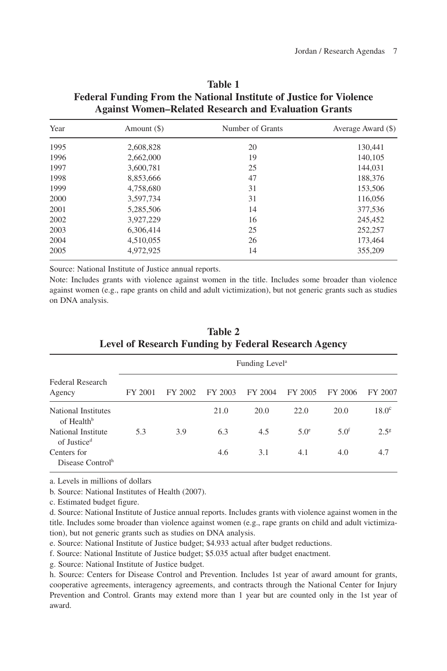| Year | Amount (\$) | Number of Grants | Average Award (\$) |
|------|-------------|------------------|--------------------|
| 1995 | 2,608,828   | 20               | 130,441            |
| 1996 | 2.662,000   | 19               | 140,105            |
| 1997 | 3,600,781   | 25               | 144,031            |
| 1998 | 8,853,666   | 47               | 188,376            |
| 1999 | 4,758,680   | 31               | 153,506            |
| 2000 | 3.597.734   | 31               | 116,056            |
| 2001 | 5,285,506   | 14               | 377,536            |
| 2002 | 3,927,229   | 16               | 245,452            |
| 2003 | 6,306,414   | 25               | 252,257            |
| 2004 | 4,510,055   | 26               | 173.464            |
| 2005 | 4,972,925   | 14               | 355,209            |

**Table 1 Federal Funding From the National Institute of Justice for Violence Against Women–Related Research and Evaluation Grants**

Source: National Institute of Justice annual reports.

Note: Includes grants with violence against women in the title. Includes some broader than violence against women (e.g., rape grants on child and adult victimization), but not generic grants such as studies on DNA analysis.

|                                               | Funding Level <sup>a</sup> |         |         |         |             |               |              |
|-----------------------------------------------|----------------------------|---------|---------|---------|-------------|---------------|--------------|
| Federal Research<br>Agency                    | FY 2001                    | FY 2002 | FY 2003 | FY 2004 | FY 2005     | FY 2006       | FY 2007      |
| National Institutes<br>of Health <sup>b</sup> |                            |         | 21.0    | 20.0    | 22.0        | 20.0          | $18.0^\circ$ |
| National Institute<br>of Justice <sup>d</sup> | 5.3                        | 3.9     | 6.3     | 4.5     | $5.0^\circ$ | $5.0^{\rm f}$ | $2.5^{g}$    |
| Centers for<br>Disease Control <sup>h</sup>   |                            |         | 4.6     | 3.1     | 4.1         | 4.0           | 4.7          |

**Table 2 Level of Research Funding by Federal Research Agency**

a. Levels in millions of dollars

b. Source: National Institutes of Health (2007).

c. Estimated budget figure.

d. Source: National Institute of Justice annual reports. Includes grants with violence against women in the title. Includes some broader than violence against women (e.g., rape grants on child and adult victimization), but not generic grants such as studies on DNA analysis.

e. Source: National Institute of Justice budget; \$4.933 actual after budget reductions.

f. Source: National Institute of Justice budget; \$5.035 actual after budget enactment.

g. Source: National Institute of Justice budget.

h. Source: Centers for Disease Control and Prevention. Includes 1st year of award amount for grants, cooperative agreements, interagency agreements, and contracts through the National Center for Injury Prevention and Control. Grants may extend more than 1 year but are counted only in the 1st year of award.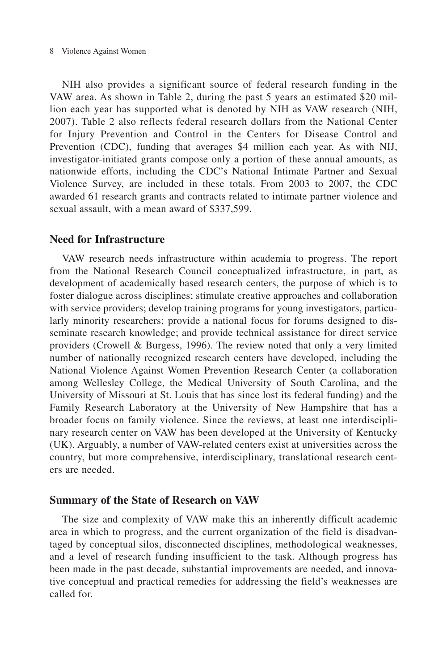#### 8 Violence Against Women

NIH also provides a significant source of federal research funding in the VAW area. As shown in Table 2, during the past 5 years an estimated \$20 million each year has supported what is denoted by NIH as VAW research (NIH, 2007). Table 2 also reflects federal research dollars from the National Center for Injury Prevention and Control in the Centers for Disease Control and Prevention (CDC), funding that averages \$4 million each year. As with NIJ, investigator-initiated grants compose only a portion of these annual amounts, as nationwide efforts, including the CDC's National Intimate Partner and Sexual Violence Survey, are included in these totals. From 2003 to 2007, the CDC awarded 61 research grants and contracts related to intimate partner violence and sexual assault, with a mean award of \$337,599.

### **Need for Infrastructure**

VAW research needs infrastructure within academia to progress. The report from the National Research Council conceptualized infrastructure, in part, as development of academically based research centers, the purpose of which is to foster dialogue across disciplines; stimulate creative approaches and collaboration with service providers; develop training programs for young investigators, particularly minority researchers; provide a national focus for forums designed to disseminate research knowledge; and provide technical assistance for direct service providers (Crowell & Burgess, 1996). The review noted that only a very limited number of nationally recognized research centers have developed, including the National Violence Against Women Prevention Research Center (a collaboration among Wellesley College, the Medical University of South Carolina, and the University of Missouri at St. Louis that has since lost its federal funding) and the Family Research Laboratory at the University of New Hampshire that has a broader focus on family violence. Since the reviews, at least one interdisciplinary research center on VAW has been developed at the University of Kentucky (UK). Arguably, a number of VAW-related centers exist at universities across the country, but more comprehensive, interdisciplinary, translational research centers are needed.

#### **Summary of the State of Research on VAW**

The size and complexity of VAW make this an inherently difficult academic area in which to progress, and the current organization of the field is disadvantaged by conceptual silos, disconnected disciplines, methodological weaknesses, and a level of research funding insufficient to the task. Although progress has been made in the past decade, substantial improvements are needed, and innovative conceptual and practical remedies for addressing the field's weaknesses are called for.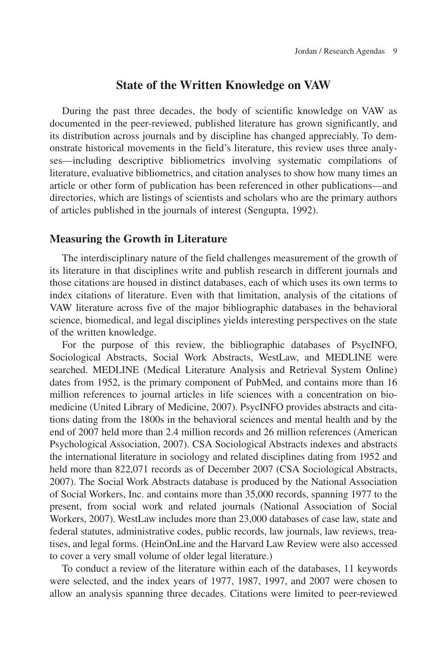#### **State of the Written Knowledge on VAW**

During the past three decades, the body of scientific knowledge on VAW as documented in the peer-reviewed, published literature has grown significantly, and its distribution across journals and by discipline has changed appreciably. To demonstrate historical movements in the field's literature, this review uses three analyses—including descriptive bibliometrics involving systematic compilations of literature, evaluative bibliometrics, and citation analyses to show how many times an article or other form of publication has been referenced in other publications—and directories, which are listings of scientists and scholars who are the primary authors of articles published in the journals of interest (Sengupta, 1992).

#### **Measuring the Growth in Literature**

The interdisciplinary nature of the field challenges measurement of the growth of its literature in that disciplines write and publish research in different journals and those citations are housed in distinct databases, each of which uses its own terms to index citations of literature. Even with that limitation, analysis of the citations of VAW literature across five of the major bibliographic databases in the behavioral science, biomedical, and legal disciplines yields interesting perspectives on the state of the written knowledge.

For the purpose of this review, the bibliographic databases of PsycINFO, Sociological Abstracts, Social Work Abstracts, WestLaw, and MEDLINE were searched. MEDLINE (Medical Literature Analysis and Retrieval System Online) dates from 1952, is the primary component of PubMed, and contains more than 16 million references to journal articles in life sciences with a concentration on biomedicine (United Library of Medicine, 2007). PsycINFO provides abstracts and citations dating from the 1800s in the behavioral sciences and mental health and by the end of 2007 held more than 2.4 million records and 26 million references (American Psychological Association, 2007). CSA Sociological Abstracts indexes and abstracts the international literature in sociology and related disciplines dating from 1952 and held more than 822,071 records as of December 2007 (CSA Sociological Abstracts, 2007). The Social Work Abstracts database is produced by the National Association of Social Workers, Inc. and contains more than 35,000 records, spanning 1977 to the present, from social work and related journals (National Association of Social Workers, 2007). WestLaw includes more than 23,000 databases of case law, state and federal statutes, administrative codes, public records, law journals, law reviews, treatises, and legal forms. (HeinOnLine and the Harvard Law Review were also accessed to cover a very small volume of older legal literature.)

To conduct a review of the literature within each of the databases, 11 keywords were selected, and the index years of 1977, 1987, 1997, and 2007 were chosen to allow an analysis spanning three decades. Citations were limited to peer-reviewed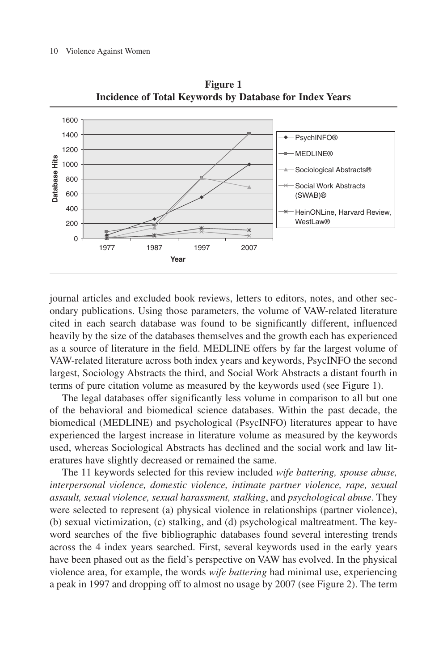#### 10 Violence Against Women



**Figure 1 Incidence of Total Keywords by Database for Index Years**

journal articles and excluded book reviews, letters to editors, notes, and other secondary publications. Using those parameters, the volume of VAW-related literature cited in each search database was found to be significantly different, influenced heavily by the size of the databases themselves and the growth each has experienced as a source of literature in the field. MEDLINE offers by far the largest volume of VAW-related literature across both index years and keywords, PsycINFO the second largest, Sociology Abstracts the third, and Social Work Abstracts a distant fourth in terms of pure citation volume as measured by the keywords used (see Figure 1).

The legal databases offer significantly less volume in comparison to all but one of the behavioral and biomedical science databases. Within the past decade, the biomedical (MEDLINE) and psychological (PsycINFO) literatures appear to have experienced the largest increase in literature volume as measured by the keywords used, whereas Sociological Abstracts has declined and the social work and law literatures have slightly decreased or remained the same.

The 11 keywords selected for this review included *wife battering, spouse abuse, interpersonal violence, domestic violence, intimate partner violence, rape, sexual assault, sexual violence, sexual harassment, stalking*, and *psychological abuse*. They were selected to represent (a) physical violence in relationships (partner violence), (b) sexual victimization, (c) stalking, and (d) psychological maltreatment. The keyword searches of the five bibliographic databases found several interesting trends across the 4 index years searched. First, several keywords used in the early years have been phased out as the field's perspective on VAW has evolved. In the physical violence area, for example, the words *wife battering* had minimal use, experiencing a peak in 1997 and dropping off to almost no usage by 2007 (see Figure 2). The term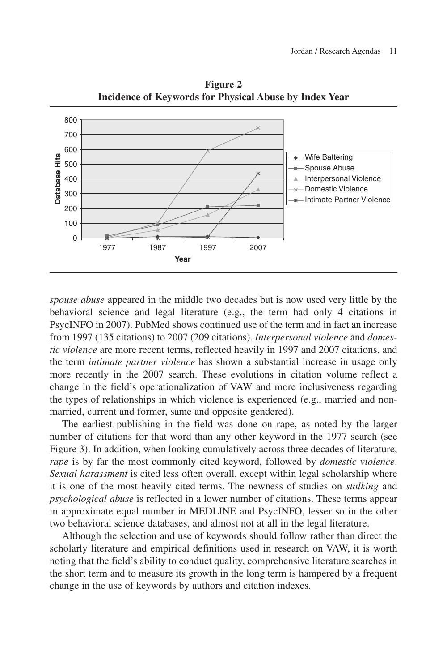

**Figure 2 Incidence of Keywords for Physical Abuse by Index Year**

*spouse abuse* appeared in the middle two decades but is now used very little by the behavioral science and legal literature (e.g., the term had only 4 citations in PsycINFO in 2007). PubMed shows continued use of the term and in fact an increase from 1997 (135 citations) to 2007 (209 citations). *Interpersonal violence* and *domestic violence* are more recent terms, reflected heavily in 1997 and 2007 citations, and the term *intimate partner violence* has shown a substantial increase in usage only more recently in the 2007 search. These evolutions in citation volume reflect a change in the field's operationalization of VAW and more inclusiveness regarding the types of relationships in which violence is experienced (e.g., married and nonmarried, current and former, same and opposite gendered).

The earliest publishing in the field was done on rape, as noted by the larger number of citations for that word than any other keyword in the 1977 search (see Figure 3). In addition, when looking cumulatively across three decades of literature, *rape* is by far the most commonly cited keyword, followed by *domestic violence*. *Sexual harassment* is cited less often overall, except within legal scholarship where it is one of the most heavily cited terms. The newness of studies on *stalking* and *psychological abuse* is reflected in a lower number of citations. These terms appear in approximate equal number in MEDLINE and PsycINFO, lesser so in the other two behavioral science databases, and almost not at all in the legal literature.

Although the selection and use of keywords should follow rather than direct the scholarly literature and empirical definitions used in research on VAW, it is worth noting that the field's ability to conduct quality, comprehensive literature searches in the short term and to measure its growth in the long term is hampered by a frequent change in the use of keywords by authors and citation indexes.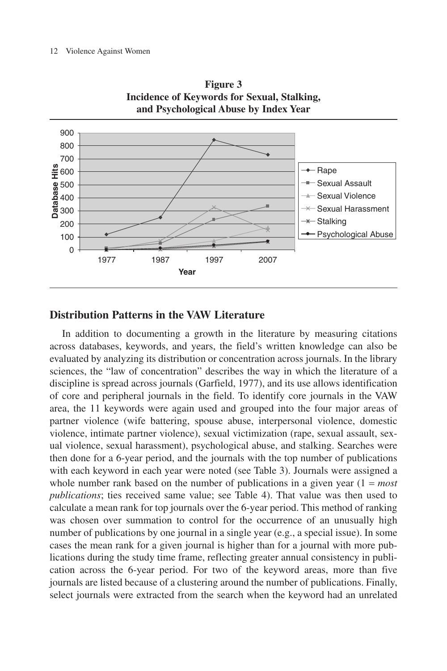

**Figure 3 Incidence of Keywords for Sexual, Stalking, and Psychological Abuse by Index Year**

#### **Distribution Patterns in the VAW Literature**

In addition to documenting a growth in the literature by measuring citations across databases, keywords, and years, the field's written knowledge can also be evaluated by analyzing its distribution or concentration across journals. In the library sciences, the "law of concentration" describes the way in which the literature of a discipline is spread across journals (Garfield, 1977), and its use allows identification of core and peripheral journals in the field. To identify core journals in the VAW area, the 11 keywords were again used and grouped into the four major areas of partner violence (wife battering, spouse abuse, interpersonal violence, domestic violence, intimate partner violence), sexual victimization (rape, sexual assault, sexual violence, sexual harassment), psychological abuse, and stalking. Searches were then done for a 6-year period, and the journals with the top number of publications with each keyword in each year were noted (see Table 3). Journals were assigned a whole number rank based on the number of publications in a given year  $(1 = most$ *publications*; ties received same value; see Table 4). That value was then used to calculate a mean rank for top journals over the 6-year period. This method of ranking was chosen over summation to control for the occurrence of an unusually high number of publications by one journal in a single year (e.g., a special issue). In some cases the mean rank for a given journal is higher than for a journal with more publications during the study time frame, reflecting greater annual consistency in publication across the 6-year period. For two of the keyword areas, more than five journals are listed because of a clustering around the number of publications. Finally, select journals were extracted from the search when the keyword had an unrelated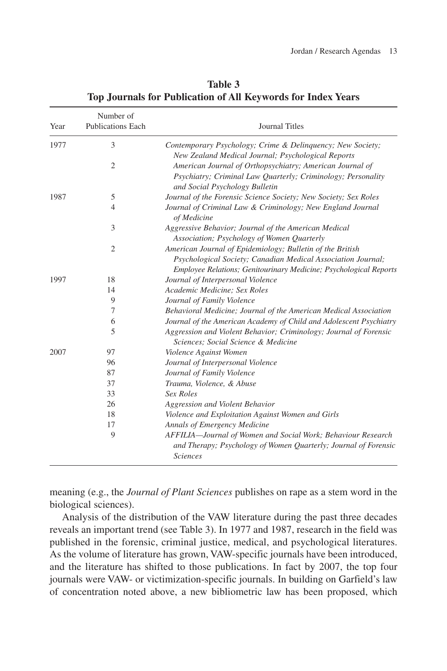| Year | Number of<br><b>Publications Each</b> | <b>Journal Titles</b>                                                                                                                                                                          |
|------|---------------------------------------|------------------------------------------------------------------------------------------------------------------------------------------------------------------------------------------------|
| 1977 | 3                                     | Contemporary Psychology; Crime & Delinquency; New Society;<br>New Zealand Medical Journal; Psychological Reports                                                                               |
|      | $\overline{2}$                        | American Journal of Orthopsychiatry; American Journal of<br>Psychiatry; Criminal Law Quarterly; Criminology; Personality<br>and Social Psychology Bulletin                                     |
| 1987 | 5                                     | Journal of the Forensic Science Society; New Society; Sex Roles                                                                                                                                |
|      | $\overline{4}$                        | Journal of Criminal Law & Criminology; New England Journal<br>of Medicine                                                                                                                      |
|      | 3                                     | Aggressive Behavior; Journal of the American Medical<br>Association; Psychology of Women Quarterly                                                                                             |
|      | 2                                     | American Journal of Epidemiology; Bulletin of the British<br>Psychological Society; Canadian Medical Association Journal;<br>Employee Relations; Genitourinary Medicine; Psychological Reports |
| 1997 | 18                                    | Journal of Interpersonal Violence                                                                                                                                                              |
|      | 14                                    | Academic Medicine; Sex Roles                                                                                                                                                                   |
|      | 9                                     | Journal of Family Violence                                                                                                                                                                     |
|      | 7                                     | Behavioral Medicine; Journal of the American Medical Association                                                                                                                               |
|      | 6                                     | Journal of the American Academy of Child and Adolescent Psychiatry                                                                                                                             |
|      | 5                                     | Aggression and Violent Behavior; Criminology; Journal of Forensic<br>Sciences; Social Science & Medicine                                                                                       |
| 2007 | 97                                    | Violence Against Women                                                                                                                                                                         |
|      | 96                                    | Journal of Interpersonal Violence                                                                                                                                                              |
|      | 87                                    | Journal of Family Violence                                                                                                                                                                     |
|      | 37                                    | Trauma, Violence, & Abuse                                                                                                                                                                      |
|      | 33                                    | <b>Sex Roles</b>                                                                                                                                                                               |
|      | 26                                    | Aggression and Violent Behavior                                                                                                                                                                |
|      | 18                                    | Violence and Exploitation Against Women and Girls                                                                                                                                              |
|      | 17                                    | Annals of Emergency Medicine                                                                                                                                                                   |
|      | 9                                     | AFFILIA-Journal of Women and Social Work; Behaviour Research<br>and Therapy; Psychology of Women Quarterly; Journal of Forensic<br><b>Sciences</b>                                             |

**Table 3 Top Journals for Publication of All Keywords for Index Years**

meaning (e.g., the *Journal of Plant Sciences* publishes on rape as a stem word in the biological sciences).

Analysis of the distribution of the VAW literature during the past three decades reveals an important trend (see Table 3). In 1977 and 1987, research in the field was published in the forensic, criminal justice, medical, and psychological literatures. As the volume of literature has grown, VAW-specific journals have been introduced, and the literature has shifted to those publications. In fact by 2007, the top four journals were VAW- or victimization-specific journals. In building on Garfield's law of concentration noted above, a new bibliometric law has been proposed, which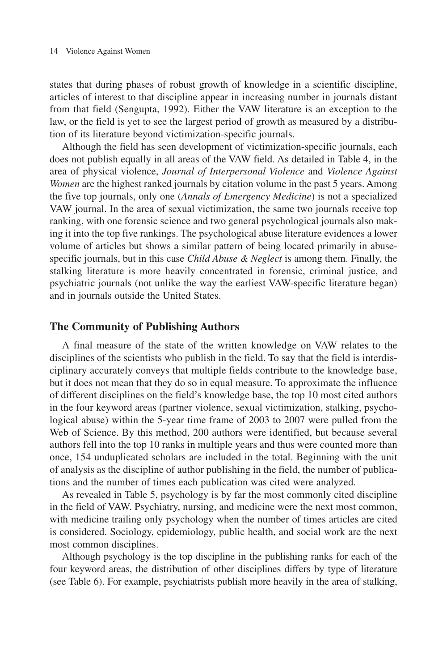states that during phases of robust growth of knowledge in a scientific discipline, articles of interest to that discipline appear in increasing number in journals distant from that field (Sengupta, 1992). Either the VAW literature is an exception to the law, or the field is yet to see the largest period of growth as measured by a distribution of its literature beyond victimization-specific journals.

Although the field has seen development of victimization-specific journals, each does not publish equally in all areas of the VAW field. As detailed in Table 4, in the area of physical violence, *Journal of Interpersonal Violence* and *Violence Against Women* are the highest ranked journals by citation volume in the past 5 years. Among the five top journals, only one (*Annals of Emergency Medicine*) is not a specialized VAW journal. In the area of sexual victimization, the same two journals receive top ranking, with one forensic science and two general psychological journals also making it into the top five rankings. The psychological abuse literature evidences a lower volume of articles but shows a similar pattern of being located primarily in abusespecific journals, but in this case *Child Abuse & Neglect* is among them. Finally, the stalking literature is more heavily concentrated in forensic, criminal justice, and psychiatric journals (not unlike the way the earliest VAW-specific literature began) and in journals outside the United States.

#### **The Community of Publishing Authors**

A final measure of the state of the written knowledge on VAW relates to the disciplines of the scientists who publish in the field. To say that the field is interdisciplinary accurately conveys that multiple fields contribute to the knowledge base, but it does not mean that they do so in equal measure. To approximate the influence of different disciplines on the field's knowledge base, the top 10 most cited authors in the four keyword areas (partner violence, sexual victimization, stalking, psychological abuse) within the 5-year time frame of 2003 to 2007 were pulled from the Web of Science. By this method, 200 authors were identified, but because several authors fell into the top 10 ranks in multiple years and thus were counted more than once, 154 unduplicated scholars are included in the total. Beginning with the unit of analysis as the discipline of author publishing in the field, the number of publications and the number of times each publication was cited were analyzed.

As revealed in Table 5, psychology is by far the most commonly cited discipline in the field of VAW. Psychiatry, nursing, and medicine were the next most common, with medicine trailing only psychology when the number of times articles are cited is considered. Sociology, epidemiology, public health, and social work are the next most common disciplines.

Although psychology is the top discipline in the publishing ranks for each of the four keyword areas, the distribution of other disciplines differs by type of literature (see Table 6). For example, psychiatrists publish more heavily in the area of stalking,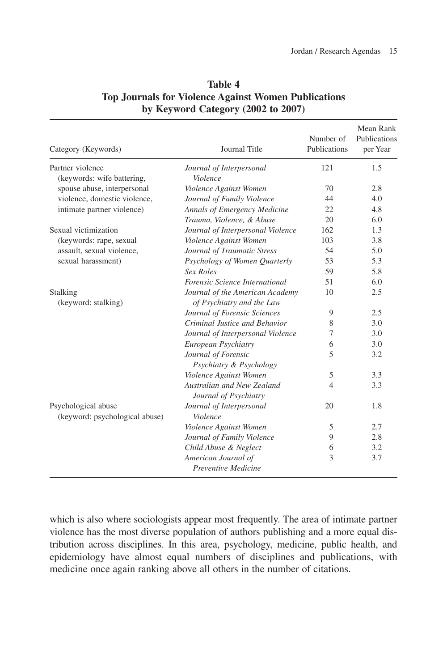| Category (Keywords)                                   | Journal Title                                                | Number of<br>Publications | Mean Rank<br>Publications<br>per Year |
|-------------------------------------------------------|--------------------------------------------------------------|---------------------------|---------------------------------------|
| Partner violence<br>(keywords: wife battering,        | Journal of Interpersonal<br>Violence                         | 121                       | 1.5                                   |
| spouse abuse, interpersonal                           | Violence Against Women                                       | 70                        | 2.8                                   |
| violence, domestic violence,                          | Journal of Family Violence                                   | 44                        | 4.0                                   |
| intimate partner violence)                            | Annals of Emergency Medicine                                 | 22                        | 4.8                                   |
|                                                       | Trauma, Violence, & Abuse                                    | 20                        | 6.0                                   |
| Sexual victimization                                  | Journal of Interpersonal Violence                            | 162                       | 1.3                                   |
| (keywords: rape, sexual                               | Violence Against Women                                       | 103                       | 3.8                                   |
| assault, sexual violence,                             | Journal of Traumatic Stress                                  | 54                        | 5.0                                   |
| sexual harassment)                                    | Psychology of Women Quarterly                                | 53                        | 5.3                                   |
|                                                       | <b>Sex Roles</b>                                             | 59                        | 5.8                                   |
|                                                       | Forensic Science International                               | 51                        | 6.0                                   |
| Stalking<br>(keyword: stalking)                       | Journal of the American Academy<br>of Psychiatry and the Law | 10                        | 2.5                                   |
|                                                       | Journal of Forensic Sciences                                 | 9                         | 2.5                                   |
|                                                       | Criminal Justice and Behavior                                | 8                         | 3.0                                   |
|                                                       | Journal of Interpersonal Violence                            | 7                         | 3.0                                   |
|                                                       | European Psychiatry                                          | 6                         | 3.0                                   |
|                                                       | Journal of Forensic<br>Psychiatry & Psychology               | 5                         | 3.2                                   |
|                                                       | Violence Against Women                                       | 5                         | 3.3                                   |
|                                                       | Australian and New Zealand<br>Journal of Psychiatry          | 4                         | 3.3                                   |
| Psychological abuse<br>(keyword: psychological abuse) | Journal of Interpersonal<br>Violence                         | 20                        | 1.8                                   |
|                                                       | Violence Against Women                                       | 5                         | 2.7                                   |
|                                                       | Journal of Family Violence                                   | 9                         | 2.8                                   |
|                                                       | Child Abuse & Neglect                                        | 6                         | 3.2                                   |
|                                                       | American Journal of<br>Preventive Medicine                   | 3                         | 3.7                                   |

## **Table 4 Top Journals for Violence Against Women Publications by Keyword Category (2002 to 2007)**

which is also where sociologists appear most frequently. The area of intimate partner violence has the most diverse population of authors publishing and a more equal distribution across disciplines. In this area, psychology, medicine, public health, and epidemiology have almost equal numbers of disciplines and publications, with medicine once again ranking above all others in the number of citations.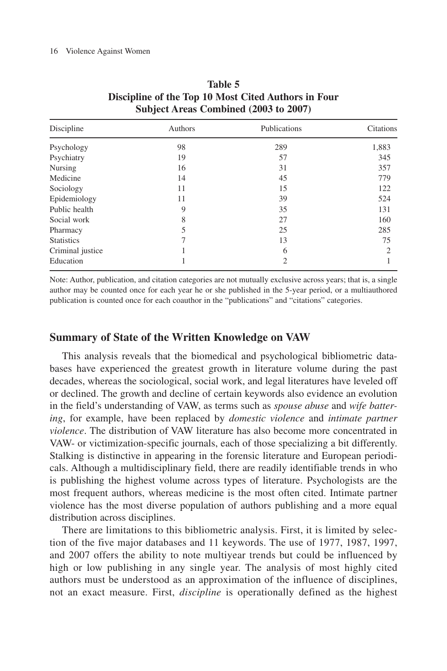| Discipline        | Authors | Publications   | <b>Citations</b> |  |
|-------------------|---------|----------------|------------------|--|
| Psychology        | 98      | 289            | 1,883            |  |
| Psychiatry        | 19      | 57             | 345              |  |
| Nursing           | 16      | 31             | 357              |  |
| Medicine          | 14      | 45             | 779              |  |
| Sociology         | 11      | 15             | 122              |  |
| Epidemiology      | 11      | 39             | 524              |  |
| Public health     | 9       | 35             | 131              |  |
| Social work       | 8       | 27             | 160              |  |
| Pharmacy          | 5       | 25             | 285              |  |
| <b>Statistics</b> | 7       | 13             | 75               |  |
| Criminal justice  |         | 6              | $\overline{c}$   |  |
| Education         |         | $\overline{c}$ |                  |  |

#### **Table 5 Discipline of the Top 10 Most Cited Authors in Four Subject Areas Combined (2003 to 2007)**

Note: Author, publication, and citation categories are not mutually exclusive across years; that is, a single author may be counted once for each year he or she published in the 5-year period, or a multiauthored publication is counted once for each coauthor in the "publications" and "citations" categories.

#### **Summary of State of the Written Knowledge on VAW**

This analysis reveals that the biomedical and psychological bibliometric databases have experienced the greatest growth in literature volume during the past decades, whereas the sociological, social work, and legal literatures have leveled off or declined. The growth and decline of certain keywords also evidence an evolution in the field's understanding of VAW, as terms such as *spouse abuse* and *wife battering*, for example, have been replaced by *domestic violence* and *intimate partner violence*. The distribution of VAW literature has also become more concentrated in VAW- or victimization-specific journals, each of those specializing a bit differently. Stalking is distinctive in appearing in the forensic literature and European periodicals. Although a multidisciplinary field, there are readily identifiable trends in who is publishing the highest volume across types of literature. Psychologists are the most frequent authors, whereas medicine is the most often cited. Intimate partner violence has the most diverse population of authors publishing and a more equal distribution across disciplines.

There are limitations to this bibliometric analysis. First, it is limited by selection of the five major databases and 11 keywords. The use of 1977, 1987, 1997, and 2007 offers the ability to note multiyear trends but could be influenced by high or low publishing in any single year. The analysis of most highly cited authors must be understood as an approximation of the influence of disciplines, not an exact measure. First, *discipline* is operationally defined as the highest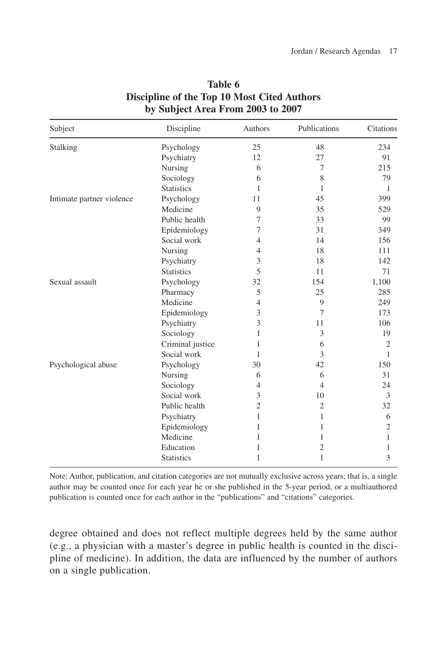| Subject                   | Discipline        | Authors        | Publications   | Citations      |
|---------------------------|-------------------|----------------|----------------|----------------|
| Stalking                  | Psychology        | 25             | 48             | 234            |
|                           | Psychiatry        | 12             | 27             | 91             |
|                           | Nursing           | 6              | 7              | 215            |
|                           | Sociology         | 6              | 8              | 79             |
|                           | <b>Statistics</b> | 1              | 1              | 1              |
| Intimate partner violence | Psychology        | 11             | 45             | 399            |
|                           | Medicine          | 9              | 35             | 529            |
|                           | Public health     | 7              | 33             | 99             |
|                           | Epidemiology      | 7              | 31             | 349            |
|                           | Social work       | $\overline{4}$ | 14             | 156            |
|                           | Nursing           | 4              | 18             | 111            |
|                           | Psychiatry        | 3              | 18             | 142            |
|                           | <b>Statistics</b> | 5              | 11             | 71             |
| Sexual assault            | Psychology        | 32             | 154            | 1,100          |
|                           | Pharmacy          | 5              | 25             | 285            |
|                           | Medicine          | $\overline{4}$ | 9              | 249            |
|                           | Epidemiology      | 3              | 7              | 173            |
|                           | Psychiatry        | 3              | 11             | 106            |
|                           | Sociology         | 1              | 3              | 19             |
|                           | Criminal justice  | 1              | 6              | $\mathfrak{2}$ |
|                           | Social work       | 1              | 3              | 1              |
| Psychological abuse       | Psychology        | 30             | 42             | 150            |
|                           | Nursing           | 6              | 6              | 31             |
|                           | Sociology         | 4              | $\overline{4}$ | 24             |
|                           | Social work       | 3              | 10             | 3              |
|                           | Public health     | $\overline{c}$ | $\mathfrak{2}$ | 32             |
|                           | Psychiatry        | 1              | 1              | 6              |
|                           | Epidemiology      | 1              | 1              | 2              |
|                           | Medicine          | 1              | 1              | 1              |
|                           | Education         | 1              | $\mathfrak{2}$ | 1              |
|                           | <b>Statistics</b> | 1              | 1              | 3              |

## **Table 6 Discipline of the Top 10 Most Cited Authors by Subject Area From 2003 to 2007**

Note: Author, publication, and citation categories are not mutually exclusive across years; that is, a single author may be counted once for each year he or she published in the 5-year period, or a multiauthored publication is counted once for each author in the "publications" and "citations" categories.

degree obtained and does not reflect multiple degrees held by the same author (e.g., a physician with a master's degree in public health is counted in the discipline of medicine). In addition, the data are influenced by the number of authors on a single publication.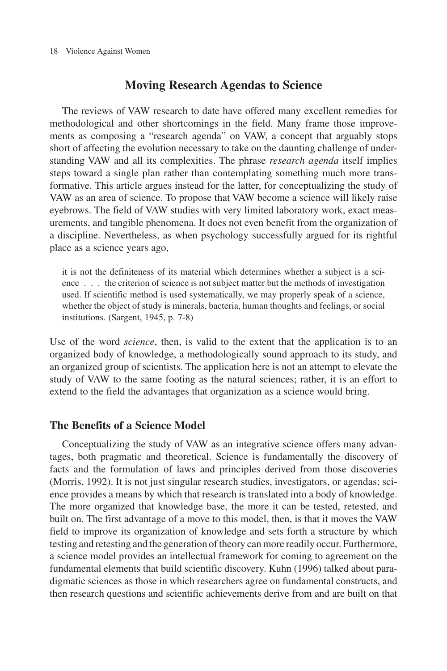# **Moving Research Agendas to Science**

The reviews of VAW research to date have offered many excellent remedies for methodological and other shortcomings in the field. Many frame those improvements as composing a "research agenda" on VAW, a concept that arguably stops short of affecting the evolution necessary to take on the daunting challenge of understanding VAW and all its complexities. The phrase *research agenda* itself implies steps toward a single plan rather than contemplating something much more transformative. This article argues instead for the latter, for conceptualizing the study of VAW as an area of science. To propose that VAW become a science will likely raise eyebrows. The field of VAW studies with very limited laboratory work, exact measurements, and tangible phenomena. It does not even benefit from the organization of a discipline. Nevertheless, as when psychology successfully argued for its rightful place as a science years ago,

it is not the definiteness of its material which determines whether a subject is a science . . . the criterion of science is not subject matter but the methods of investigation used. If scientific method is used systematically, we may properly speak of a science, whether the object of study is minerals, bacteria, human thoughts and feelings, or social institutions. (Sargent, 1945, p. 7-8)

Use of the word *science*, then, is valid to the extent that the application is to an organized body of knowledge, a methodologically sound approach to its study, and an organized group of scientists. The application here is not an attempt to elevate the study of VAW to the same footing as the natural sciences; rather, it is an effort to extend to the field the advantages that organization as a science would bring.

#### **The Benefits of a Science Model**

Conceptualizing the study of VAW as an integrative science offers many advantages, both pragmatic and theoretical. Science is fundamentally the discovery of facts and the formulation of laws and principles derived from those discoveries (Morris, 1992). It is not just singular research studies, investigators, or agendas; science provides a means by which that research is translated into a body of knowledge. The more organized that knowledge base, the more it can be tested, retested, and built on. The first advantage of a move to this model, then, is that it moves the VAW field to improve its organization of knowledge and sets forth a structure by which testing and retesting and the generation of theory can more readily occur. Furthermore, a science model provides an intellectual framework for coming to agreement on the fundamental elements that build scientific discovery. Kuhn (1996) talked about paradigmatic sciences as those in which researchers agree on fundamental constructs, and then research questions and scientific achievements derive from and are built on that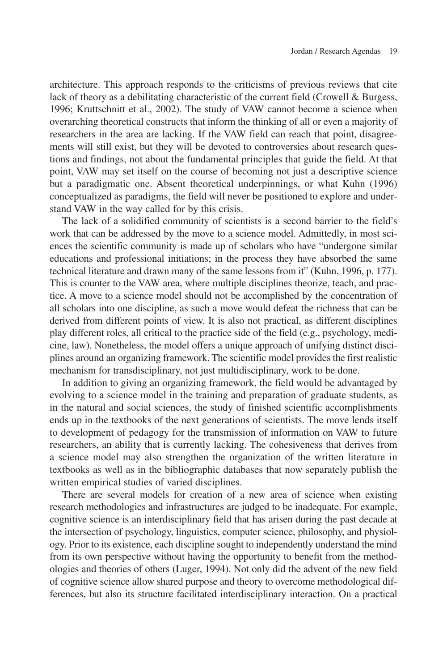architecture. This approach responds to the criticisms of previous reviews that cite lack of theory as a debilitating characteristic of the current field (Crowell & Burgess, 1996; Kruttschnitt et al., 2002). The study of VAW cannot become a science when overarching theoretical constructs that inform the thinking of all or even a majority of researchers in the area are lacking. If the VAW field can reach that point, disagreements will still exist, but they will be devoted to controversies about research questions and findings, not about the fundamental principles that guide the field. At that point, VAW may set itself on the course of becoming not just a descriptive science but a paradigmatic one. Absent theoretical underpinnings, or what Kuhn (1996) conceptualized as paradigms, the field will never be positioned to explore and understand VAW in the way called for by this crisis.

The lack of a solidified community of scientists is a second barrier to the field's work that can be addressed by the move to a science model. Admittedly, in most sciences the scientific community is made up of scholars who have "undergone similar educations and professional initiations; in the process they have absorbed the same technical literature and drawn many of the same lessons from it" (Kuhn, 1996, p. 177). This is counter to the VAW area, where multiple disciplines theorize, teach, and practice. A move to a science model should not be accomplished by the concentration of all scholars into one discipline, as such a move would defeat the richness that can be derived from different points of view. It is also not practical, as different disciplines play different roles, all critical to the practice side of the field (e.g., psychology, medicine, law). Nonetheless, the model offers a unique approach of unifying distinct disciplines around an organizing framework. The scientific model provides the first realistic mechanism for transdisciplinary, not just multidisciplinary, work to be done.

In addition to giving an organizing framework, the field would be advantaged by evolving to a science model in the training and preparation of graduate students, as in the natural and social sciences, the study of finished scientific accomplishments ends up in the textbooks of the next generations of scientists. The move lends itself to development of pedagogy for the transmission of information on VAW to future researchers, an ability that is currently lacking. The cohesiveness that derives from a science model may also strengthen the organization of the written literature in textbooks as well as in the bibliographic databases that now separately publish the written empirical studies of varied disciplines.

There are several models for creation of a new area of science when existing research methodologies and infrastructures are judged to be inadequate. For example, cognitive science is an interdisciplinary field that has arisen during the past decade at the intersection of psychology, linguistics, computer science, philosophy, and physiology. Prior to its existence, each discipline sought to independently understand the mind from its own perspective without having the opportunity to benefit from the methodologies and theories of others (Luger, 1994). Not only did the advent of the new field of cognitive science allow shared purpose and theory to overcome methodological differences, but also its structure facilitated interdisciplinary interaction. On a practical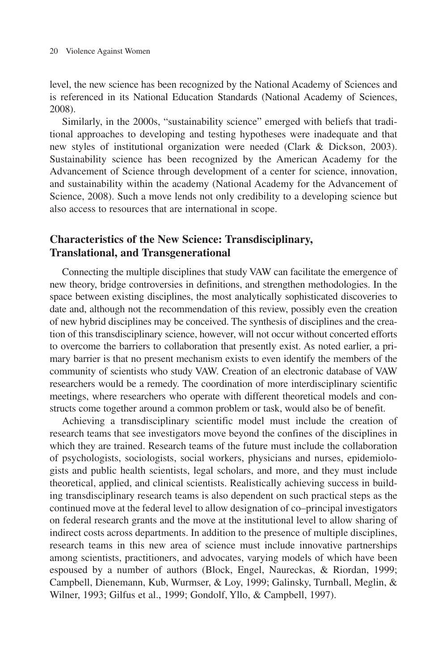level, the new science has been recognized by the National Academy of Sciences and is referenced in its National Education Standards (National Academy of Sciences, 2008).

Similarly, in the 2000s, "sustainability science" emerged with beliefs that traditional approaches to developing and testing hypotheses were inadequate and that new styles of institutional organization were needed (Clark & Dickson, 2003). Sustainability science has been recognized by the American Academy for the Advancement of Science through development of a center for science, innovation, and sustainability within the academy (National Academy for the Advancement of Science, 2008). Such a move lends not only credibility to a developing science but also access to resources that are international in scope.

## **Characteristics of the New Science: Transdisciplinary, Translational, and Transgenerational**

Connecting the multiple disciplines that study VAW can facilitate the emergence of new theory, bridge controversies in definitions, and strengthen methodologies. In the space between existing disciplines, the most analytically sophisticated discoveries to date and, although not the recommendation of this review, possibly even the creation of new hybrid disciplines may be conceived. The synthesis of disciplines and the creation of this transdisciplinary science, however, will not occur without concerted efforts to overcome the barriers to collaboration that presently exist. As noted earlier, a primary barrier is that no present mechanism exists to even identify the members of the community of scientists who study VAW. Creation of an electronic database of VAW researchers would be a remedy. The coordination of more interdisciplinary scientific meetings, where researchers who operate with different theoretical models and constructs come together around a common problem or task, would also be of benefit.

Achieving a transdisciplinary scientific model must include the creation of research teams that see investigators move beyond the confines of the disciplines in which they are trained. Research teams of the future must include the collaboration of psychologists, sociologists, social workers, physicians and nurses, epidemiologists and public health scientists, legal scholars, and more, and they must include theoretical, applied, and clinical scientists. Realistically achieving success in building transdisciplinary research teams is also dependent on such practical steps as the continued move at the federal level to allow designation of co–principal investigators on federal research grants and the move at the institutional level to allow sharing of indirect costs across departments. In addition to the presence of multiple disciplines, research teams in this new area of science must include innovative partnerships among scientists, practitioners, and advocates, varying models of which have been espoused by a number of authors (Block, Engel, Naureckas, & Riordan, 1999; Campbell, Dienemann, Kub, Wurmser, & Loy, 1999; Galinsky, Turnball, Meglin, & Wilner, 1993; Gilfus et al., 1999; Gondolf, Yllo, & Campbell, 1997).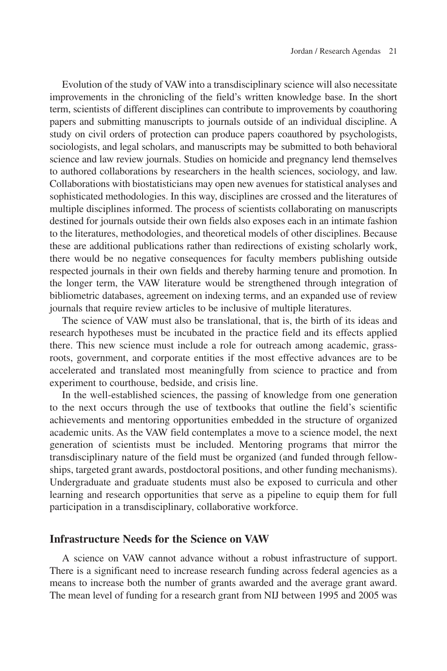Evolution of the study of VAW into a transdisciplinary science will also necessitate improvements in the chronicling of the field's written knowledge base. In the short term, scientists of different disciplines can contribute to improvements by coauthoring papers and submitting manuscripts to journals outside of an individual discipline. A study on civil orders of protection can produce papers coauthored by psychologists, sociologists, and legal scholars, and manuscripts may be submitted to both behavioral science and law review journals. Studies on homicide and pregnancy lend themselves to authored collaborations by researchers in the health sciences, sociology, and law. Collaborations with biostatisticians may open new avenues for statistical analyses and sophisticated methodologies. In this way, disciplines are crossed and the literatures of multiple disciplines informed. The process of scientists collaborating on manuscripts destined for journals outside their own fields also exposes each in an intimate fashion to the literatures, methodologies, and theoretical models of other disciplines. Because these are additional publications rather than redirections of existing scholarly work, there would be no negative consequences for faculty members publishing outside respected journals in their own fields and thereby harming tenure and promotion. In the longer term, the VAW literature would be strengthened through integration of bibliometric databases, agreement on indexing terms, and an expanded use of review journals that require review articles to be inclusive of multiple literatures.

The science of VAW must also be translational, that is, the birth of its ideas and research hypotheses must be incubated in the practice field and its effects applied there. This new science must include a role for outreach among academic, grassroots, government, and corporate entities if the most effective advances are to be accelerated and translated most meaningfully from science to practice and from experiment to courthouse, bedside, and crisis line.

In the well-established sciences, the passing of knowledge from one generation to the next occurs through the use of textbooks that outline the field's scientific achievements and mentoring opportunities embedded in the structure of organized academic units. As the VAW field contemplates a move to a science model, the next generation of scientists must be included. Mentoring programs that mirror the transdisciplinary nature of the field must be organized (and funded through fellowships, targeted grant awards, postdoctoral positions, and other funding mechanisms). Undergraduate and graduate students must also be exposed to curricula and other learning and research opportunities that serve as a pipeline to equip them for full participation in a transdisciplinary, collaborative workforce.

#### **Infrastructure Needs for the Science on VAW**

A science on VAW cannot advance without a robust infrastructure of support. There is a significant need to increase research funding across federal agencies as a means to increase both the number of grants awarded and the average grant award. The mean level of funding for a research grant from NIJ between 1995 and 2005 was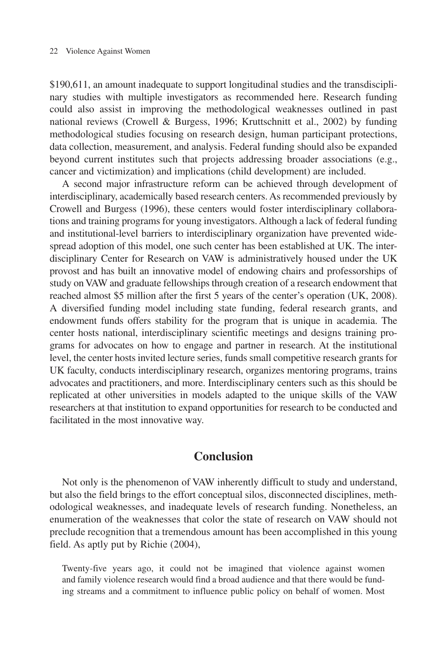\$190,611, an amount inadequate to support longitudinal studies and the transdisciplinary studies with multiple investigators as recommended here. Research funding could also assist in improving the methodological weaknesses outlined in past national reviews (Crowell & Burgess, 1996; Kruttschnitt et al., 2002) by funding methodological studies focusing on research design, human participant protections, data collection, measurement, and analysis. Federal funding should also be expanded beyond current institutes such that projects addressing broader associations (e.g., cancer and victimization) and implications (child development) are included.

A second major infrastructure reform can be achieved through development of interdisciplinary, academically based research centers. As recommended previously by Crowell and Burgess (1996), these centers would foster interdisciplinary collaborations and training programs for young investigators. Although a lack of federal funding and institutional-level barriers to interdisciplinary organization have prevented widespread adoption of this model, one such center has been established at UK. The interdisciplinary Center for Research on VAW is administratively housed under the UK provost and has built an innovative model of endowing chairs and professorships of study on VAW and graduate fellowships through creation of a research endowment that reached almost \$5 million after the first 5 years of the center's operation (UK, 2008). A diversified funding model including state funding, federal research grants, and endowment funds offers stability for the program that is unique in academia. The center hosts national, interdisciplinary scientific meetings and designs training programs for advocates on how to engage and partner in research. At the institutional level, the center hosts invited lecture series, funds small competitive research grants for UK faculty, conducts interdisciplinary research, organizes mentoring programs, trains advocates and practitioners, and more. Interdisciplinary centers such as this should be replicated at other universities in models adapted to the unique skills of the VAW researchers at that institution to expand opportunities for research to be conducted and facilitated in the most innovative way.

#### **Conclusion**

Not only is the phenomenon of VAW inherently difficult to study and understand, but also the field brings to the effort conceptual silos, disconnected disciplines, methodological weaknesses, and inadequate levels of research funding. Nonetheless, an enumeration of the weaknesses that color the state of research on VAW should not preclude recognition that a tremendous amount has been accomplished in this young field. As aptly put by Richie (2004),

Twenty-five years ago, it could not be imagined that violence against women and family violence research would find a broad audience and that there would be funding streams and a commitment to influence public policy on behalf of women. Most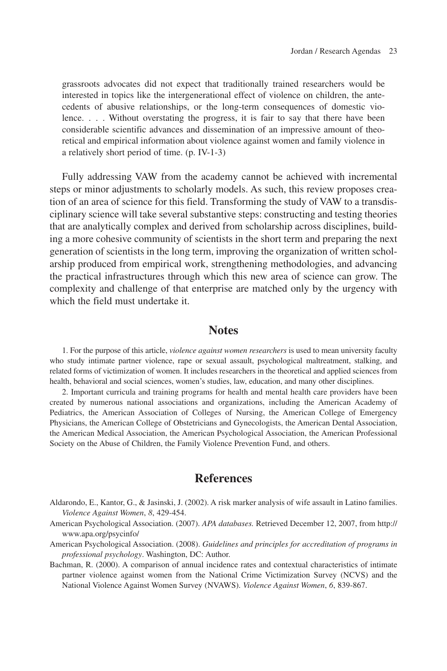grassroots advocates did not expect that traditionally trained researchers would be interested in topics like the intergenerational effect of violence on children, the antecedents of abusive relationships, or the long-term consequences of domestic violence. . . . Without overstating the progress, it is fair to say that there have been considerable scientific advances and dissemination of an impressive amount of theoretical and empirical information about violence against women and family violence in a relatively short period of time. (p. IV-1-3)

Fully addressing VAW from the academy cannot be achieved with incremental steps or minor adjustments to scholarly models. As such, this review proposes creation of an area of science for this field. Transforming the study of VAW to a transdisciplinary science will take several substantive steps: constructing and testing theories that are analytically complex and derived from scholarship across disciplines, building a more cohesive community of scientists in the short term and preparing the next generation of scientists in the long term, improving the organization of written scholarship produced from empirical work, strengthening methodologies, and advancing the practical infrastructures through which this new area of science can grow. The complexity and challenge of that enterprise are matched only by the urgency with which the field must undertake it.

### **Notes**

1. For the purpose of this article, *violence against women researchers* is used to mean university faculty who study intimate partner violence, rape or sexual assault, psychological maltreatment, stalking, and related forms of victimization of women. It includes researchers in the theoretical and applied sciences from health, behavioral and social sciences, women's studies, law, education, and many other disciplines.

2. Important curricula and training programs for health and mental health care providers have been created by numerous national associations and organizations, including the American Academy of Pediatrics, the American Association of Colleges of Nursing, the American College of Emergency Physicians, the American College of Obstetricians and Gynecologists, the American Dental Association, the American Medical Association, the American Psychological Association, the American Professional Society on the Abuse of Children, the Family Violence Prevention Fund, and others.

#### **References**

- Aldarondo, E., Kantor, G., & Jasinski, J. (2002). A risk marker analysis of wife assault in Latino families. *Violence Against Women*, *8*, 429-454.
- American Psychological Association. (2007). *APA databases.* Retrieved December 12, 2007, from http:// www.apa.org/psycinfo/
- American Psychological Association. (2008). *Guidelines and principles for accreditation of programs in professional psychology*. Washington, DC: Author.
- Bachman, R. (2000). A comparison of annual incidence rates and contextual characteristics of intimate partner violence against women from the National Crime Victimization Survey (NCVS) and the National Violence Against Women Survey (NVAWS). *Violence Against Women*, *6*, 839-867.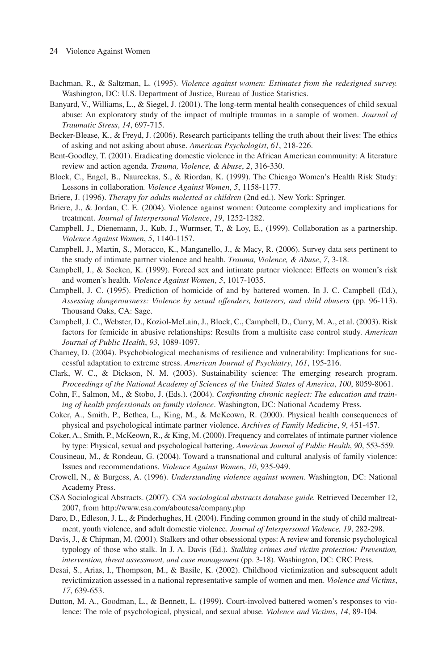- Bachman, R., & Saltzman, L. (1995). *Violence against women: Estimates from the redesigned survey.* Washington, DC: U.S. Department of Justice, Bureau of Justice Statistics.
- Banyard, V., Williams, L., & Siegel, J. (2001). The long-term mental health consequences of child sexual abuse: An exploratory study of the impact of multiple traumas in a sample of women. *Journal of Traumatic Stress*, *14*, 697-715.
- Becker-Blease, K., & Freyd, J. (2006). Research participants telling the truth about their lives: The ethics of asking and not asking about abuse. *American Psychologist*, *61*, 218-226.
- Bent-Goodley, T. (2001). Eradicating domestic violence in the African American community: A literature review and action agenda. *Trauma, Violence, & Abuse*, *2*, 316-330.
- Block, C., Engel, B., Naureckas, S., & Riordan, K. (1999). The Chicago Women's Health Risk Study: Lessons in collaboration*. Violence Against Women*, *5*, 1158-1177.
- Briere, J. (1996). *Therapy for adults molested as children* (2nd ed.). New York: Springer.
- Briere, J., & Jordan, C. E. (2004). Violence against women: Outcome complexity and implications for treatment. *Journal of Interpersonal Violence*, *19*, 1252-1282.
- Campbell, J., Dienemann, J., Kub, J., Wurmser, T., & Loy, E., (1999). Collaboration as a partnership. *Violence Against Women*, *5*, 1140-1157.
- Campbell, J., Martin, S., Moracco, K., Manganello, J., & Macy, R. (2006). Survey data sets pertinent to the study of intimate partner violence and health. *Trauma, Violence, & Abuse*, *7*, 3-18.
- Campbell, J., & Soeken, K. (1999). Forced sex and intimate partner violence: Effects on women's risk and women's health. *Violence Against Women*, *5*, 1017-1035.
- Campbell, J. C. (1995). Prediction of homicide of and by battered women. In J. C. Campbell (Ed.), *Assessing dangerousness: Violence by sexual offenders, batterers, and child abusers* (pp. 96-113). Thousand Oaks, CA: Sage.
- Campbell, J. C., Webster, D., Koziol-McLain, J., Block, C., Campbell, D., Curry, M. A., et al. (2003). Risk factors for femicide in abusive relationships: Results from a multisite case control study. *American Journal of Public Health*, *93*, 1089-1097.
- Charney, D. (2004). Psychobiological mechanisms of resilience and vulnerability: Implications for successful adaptation to extreme stress. *American Journal of Psychiatry*, *161*, 195-216.
- Clark, W. C., & Dickson, N. M. (2003). Sustainability science: The emerging research program. *Proceedings of the National Academy of Sciences of the United States of America*, *100*, 8059-8061.
- Cohn, F., Salmon, M., & Stobo, J. (Eds.). (2004). *Confronting chronic neglect: The education and training of health professionals on family violence*. Washington, DC: National Academy Press.
- Coker, A., Smith, P., Bethea, L., King, M., & McKeown, R. (2000). Physical health consequences of physical and psychological intimate partner violence. *Archives of Family Medicine*, *9*, 451-457.
- Coker, A., Smith, P., McKeown, R., & King, M. (2000). Frequency and correlates of intimate partner violence by type: Physical, sexual and psychological battering. *American Journal of Public Health*, *90*, 553-559.
- Cousineau, M., & Rondeau, G. (2004). Toward a transnational and cultural analysis of family violence: Issues and recommendations. *Violence Against Women*, *10*, 935-949.
- Crowell, N., & Burgess, A. (1996). *Understanding violence against women*. Washington, DC: National Academy Press.
- CSA Sociological Abstracts. (2007). *CSA sociological abstracts database guide.* Retrieved December 12, 2007, from http://www.csa.com/aboutcsa/company.php
- Daro, D., Edleson, J. L., & Pinderhughes, H. (2004). Finding common ground in the study of child maltreatment, youth violence, and adult domestic violence. *Journal of Interpersonal Violence, 19*, 282-298.
- Davis, J., & Chipman, M. (2001). Stalkers and other obsessional types: A review and forensic psychological typology of those who stalk. In J. A. Davis (Ed.). *Stalking crimes and victim protection: Prevention, intervention, threat assessment, and case management* (pp. 3-18)*.* Washington, DC: CRC Press.
- Desai, S., Arias, I., Thompson, M., & Basile, K. (2002). Childhood victimization and subsequent adult revictimization assessed in a national representative sample of women and men. *Violence and Victims*, *17*, 639-653.
- Dutton, M. A., Goodman, L., & Bennett, L. (1999). Court-involved battered women's responses to violence: The role of psychological, physical, and sexual abuse. *Violence and Victims*, *14*, 89-104.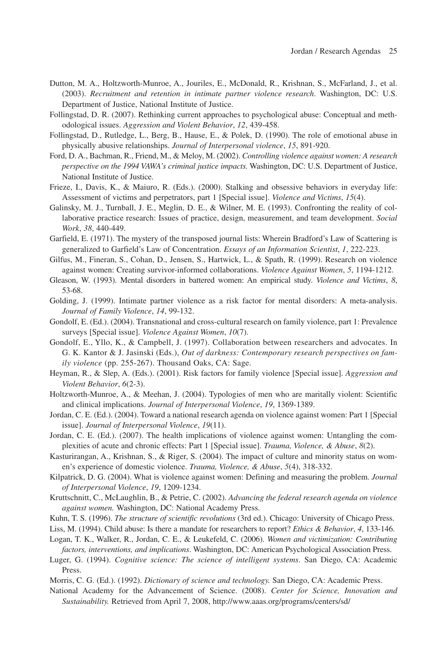- Dutton, M. A., Holtzworth-Munroe, A., Jouriles, E., McDonald, R., Krishnan, S., McFarland, J., et al. (2003). *Recruitment and retention in intimate partner violence research*. Washington, DC: U.S. Department of Justice, National Institute of Justice.
- Follingstad, D. R. (2007). Rethinking current approaches to psychological abuse: Conceptual and methodological issues. *Aggression and Violent Behavior*, *12*, 439-458.
- Follingstad, D., Rutledge, L., Berg, B., Hause, E., & Polek, D. (1990). The role of emotional abuse in physically abusive relationships. *Journal of Interpersonal violence*, *15*, 891-920.
- Ford, D. A., Bachman, R., Friend, M., & Meloy, M. (2002). *Controlling violence against women: A research perspective on the 1994 VAWA's criminal justice impacts.* Washington, DC: U.S. Department of Justice, National Institute of Justice.
- Frieze, I., Davis, K., & Maiuro, R. (Eds.). (2000). Stalking and obsessive behaviors in everyday life: Assessment of victims and perpetrators, part 1 [Special issue]. *Violence and Victims*, *15*(4).
- Galinsky, M. J., Turnball, J. E., Meglin, D. E., & Wilner, M. E. (1993). Confronting the reality of collaborative practice research: Issues of practice, design, measurement, and team development. *Social Work*, *38*, 440-449.
- Garfield, E. (1971). The mystery of the transposed journal lists: Wherein Bradford's Law of Scattering is generalized to Garfield's Law of Concentration. *Essays of an Information Scientist*, *1*, 222-223.
- Gilfus, M., Fineran, S., Cohan, D., Jensen, S., Hartwick, L., & Spath, R. (1999). Research on violence against women: Creating survivor-informed collaborations. *Violence Against Women*, *5*, 1194-1212.
- Gleason, W. (1993). Mental disorders in battered women: An empirical study. *Violence and Victims*, *8*, 53-68.
- Golding, J. (1999). Intimate partner violence as a risk factor for mental disorders: A meta-analysis. *Journal of Family Violence*, *14*, 99-132.
- Gondolf, E. (Ed.). (2004). Transnational and cross-cultural research on family violence, part 1: Prevalence surveys [Special issue]. *Violence Against Women*, *10*(7).
- Gondolf, E., Yllo, K., & Campbell, J. (1997). Collaboration between researchers and advocates. In G. K. Kantor & J. Jasinski (Eds.), *Out of darkness: Contemporary research perspectives on family violence* (pp. 255-267). Thousand Oaks, CA: Sage.
- Heyman, R., & Slep, A. (Eds.). (2001). Risk factors for family violence [Special issue]. *Aggression and Violent Behavior*, *6*(2-3).
- Holtzworth-Munroe, A., & Meehan, J. (2004). Typologies of men who are maritally violent: Scientific and clinical implications. *Journal of Interpersonal Violence*, *19*, 1369-1389.
- Jordan, C. E. (Ed.). (2004). Toward a national research agenda on violence against women: Part 1 [Special issue]. *Journal of Interpersonal Violence*, *19*(11).
- Jordan, C. E. (Ed.). (2007). The health implications of violence against women: Untangling the complexities of acute and chronic effects: Part 1 [Special issue]. *Trauma, Violence, & Abuse*, *8*(2).
- Kasturirangan, A., Krishnan, S., & Riger, S. (2004). The impact of culture and minority status on women's experience of domestic violence. *Trauma, Violence, & Abuse*, *5*(4), 318-332.
- Kilpatrick, D. G. (2004). What is violence against women: Defining and measuring the problem. *Journal of Interpersonal Violence*, *19*, 1209-1234.
- Kruttschnitt, C., McLaughlin, B., & Petrie, C. (2002). *Advancing the federal research agenda on violence against women.* Washington, DC: National Academy Press.
- Kuhn, T. S. (1996). *The structure of scientific revolutions* (3rd ed.). Chicago: University of Chicago Press.
- Liss, M. (1994). Child abuse: Is there a mandate for researchers to report? *Ethics & Behavior*, *4*, 133-146.
- Logan, T. K., Walker, R., Jordan, C. E., & Leukefeld, C. (2006). *Women and victimization: Contributing factors, interventions, and implications*. Washington, DC: American Psychological Association Press.
- Luger, G. (1994). *Cognitive science: The science of intelligent systems*. San Diego, CA: Academic Press.
- Morris, C. G. (Ed.). (1992). *Dictionary of science and technology.* San Diego, CA: Academic Press.
- National Academy for the Advancement of Science. (2008). *Center for Science, Innovation and Sustainability.* Retrieved from April 7, 2008, http://www.aaas.org/programs/centers/sd/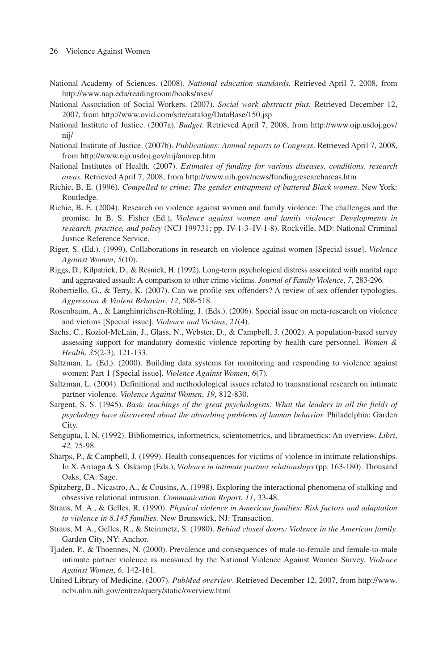- National Academy of Sciences. (2008). *National education standards.* Retrieved April 7, 2008, from http://www.nap.edu/readingroom/books/nses/
- National Association of Social Workers. (2007). *Social work abstracts plus.* Retrieved December 12, 2007, from http://www.ovid.com/site/catalog/DataBase/150.jsp
- National Institute of Justice. (2007a). *Budget*. Retrieved April 7, 2008, from http://www.ojp.usdoj.gov/ nij/
- National Institute of Justice. (2007b). *Publications: Annual reports to Congress*. Retrieved April 7, 2008, from http://www.ojp.usdoj.gov/nij/annrep.htm
- National Institutes of Health. (2007). *Estimates of funding for various diseases, conditions, research areas*. Retrieved April 7, 2008, from http://www.nih.gov/news/fundingresearchareas.htm
- Richie, B. E. (1996). *Compelled to crime: The gender entrapment of battered Black women*. New York: Routledge.
- Richie, B. E. (2004). Research on violence against women and family violence: The challenges and the promise. In B. S. Fisher (Ed.), *Violence against women and family violence: Developments in research, practice, and policy* (NCJ 199731; pp. IV-1-3–IV-1-8). Rockville, MD: National Criminal Justice Reference Service.
- Riger, S. (Ed.). (1999). Collaborations in research on violence against women [Special issue]. *Violence Against Women*, *5*(10).
- Riggs, D., Kilpatrick, D., & Resnick, H. (1992). Long-term psychological distress associated with marital rape and aggravated assault: A comparison to other crime victims. *Journal of Family Violence*, *7*, 283-296.
- Robertiello, G., & Terry, K. (2007). Can we profile sex offenders? A review of sex offender typologies. *Aggression & Violent Behavior*, *12*, 508-518.
- Rosenbaum, A., & Langhinrichsen-Rohling, J. (Eds.). (2006). Special issue on meta-research on violence and victims [Special issue]. *Violence and Victims*, *21*(4).
- Sachs, C., Koziol-McLain, J., Glass, N., Webster, D., & Campbell, J. (2002). A population-based survey assessing support for mandatory domestic violence reporting by health care personnel. *Women & Health*, *35*(2-3), 121-133.
- Saltzman, L. (Ed.). (2000). Building data systems for monitoring and responding to violence against women: Part 1 [Special issue]. *Violence Against Women*, *6*(7).
- Saltzman, L. (2004). Definitional and methodological issues related to transnational research on intimate partner violence. *Violence Against Women*, *19*, 812-830.
- Sargent, S. S. (1945). *Basic teachings of the great psychologists: What the leaders in all the fields of psychology have discovered about the absorbing problems of human behavior.* Philadelphia: Garden City.
- Sengupta, I. N. (1992). Bibliometrics, informetrics, scientometrics, and librametrics: An overview. *Libri*, *42,* 75-98.
- Sharps, P., & Campbell, J. (1999). Health consequences for victims of violence in intimate relationships. In X. Arriaga & S. Oskamp (Eds.), *Violence in intimate partner relationships* (pp. 163-180). Thousand Oaks, CA: Sage.
- Spitzberg, B., Nicastro, A., & Cousins, A. (1998). Exploring the interactional phenomena of stalking and obsessive relational intrusion. *Communication Report*, *11*, 33-48.
- Straus, M. A., & Gelles, R. (1990). *Physical violence in American families: Risk factors and adaptation to violence in 8,145 families.* New Brunswick, NJ: Transaction.
- Straus, M. A., Gelles, R., & Steinmetz, S. (1980). *Behind closed doors: Violence in the American family.*  Garden City, NY: Anchor.
- Tjaden, P., & Thoennes, N. (2000). Prevalence and consequences of male-to-female and female-to-male intimate partner violence as measured by the National Violence Against Women Survey. *Violence Against Women*, *6*, 142-161.
- United Library of Medicine. (2007). *PubMed overview*. Retrieved December 12, 2007, from http://www. ncbi.nlm.nih.gov/entrez/query/static/overview.html